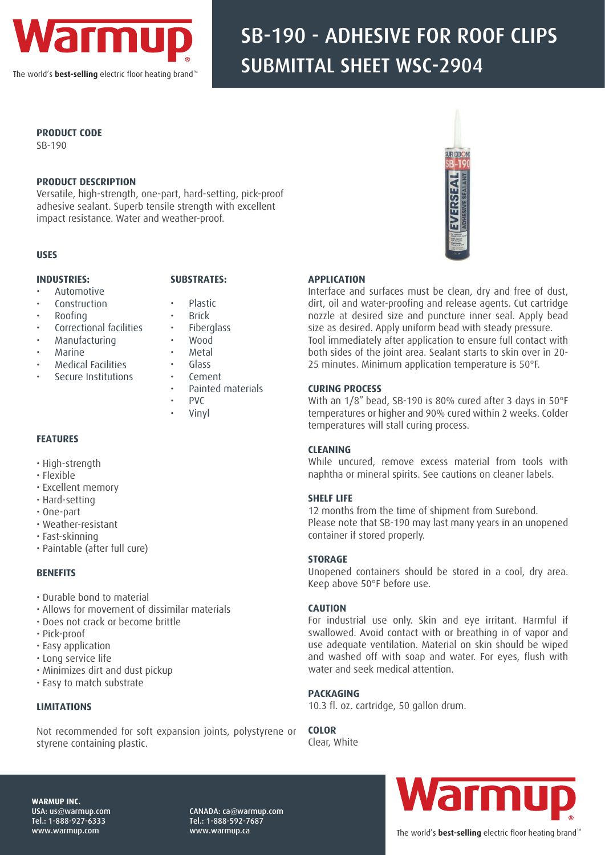

The world's **best-selling** electric floor heating brand™

# SB-190 - ADHESIVE FOR ROOF CLIPS SUBMITTAL SHEET WSC-2904

#### **PRODUCT CODE**

SB-190

#### **PRODUCT DESCRIPTION**

Versatile, high-strength, one-part, hard-setting, pick-proof adhesive sealant. Superb tensile strength with excellent impact resistance. Water and weather-proof.

#### **USES**

#### **INDUSTRIES:**

## **SUBSTRATES:**

- Automotive • Construction
- Plastic • Brick
- Roofing
- Correctional facilities

• Secure Institutions

- Manufacturing
- Marine • Medical Facilities
- Metal • Glass
- Cement
- Painted materials

**Fiberglass** • Wood

- PVC
- Vinyl

#### **FEATURES**

- High-strength
- Flexible
- Excellent memory
- Hard-setting
- One-part
- Weather-resistant
- Fast-skinning
- Paintable (after full cure)

#### **BENEFITS**

- Durable bond to material
- Allows for movement of dissimilar materials
- Does not crack or become brittle
- Pick-proof
- Easy application
- Long service life
- Minimizes dirt and dust pickup
- Easy to match substrate

#### **LIMITATIONS**

Not recommended for soft expansion joints, polystyrene or styrene containing plastic.



#### **APPLICATION**

Interface and surfaces must be clean, dry and free of dust, dirt, oil and water-proofing and release agents. Cut cartridge nozzle at desired size and puncture inner seal. Apply bead size as desired. Apply uniform bead with steady pressure. Tool immediately after application to ensure full contact with both sides of the joint area. Sealant starts to skin over in 20- 25 minutes. Minimum application temperature is 50°F.

#### **CURING PROCESS**

With an 1/8" bead, SB-190 is 80% cured after 3 days in 50°F temperatures or higher and 90% cured within 2 weeks. Colder temperatures will stall curing process.

#### **CLEANING**

While uncured, remove excess material from tools with naphtha or mineral spirits. See cautions on cleaner labels.

#### **SHELF LIFE**

12 months from the time of shipment from Surebond. Please note that SB-190 may last many years in an unopened container if stored properly.

#### **STORAGE**

Unopened containers should be stored in a cool, dry area. Keep above 50°F before use.

#### **CAUTION**

For industrial use only. Skin and eye irritant. Harmful if swallowed. Avoid contact with or breathing in of vapor and use adequate ventilation. Material on skin should be wiped and washed off with soap and water. For eyes, flush with water and seek medical attention.

#### **PACKAGING**

10.3 fl. oz. cartridge, 50 gallon drum.

**COLOR** Clear, White



**WARMUP INC.**  USA: us@warmup.com Tel.: 1-888-927-6333 www.warmup.com

CANADA: ca@warmup.com Tel.: 1-888-592-7687 www.warmup.ca

### The world's **best-selling** electric floor heating brand"